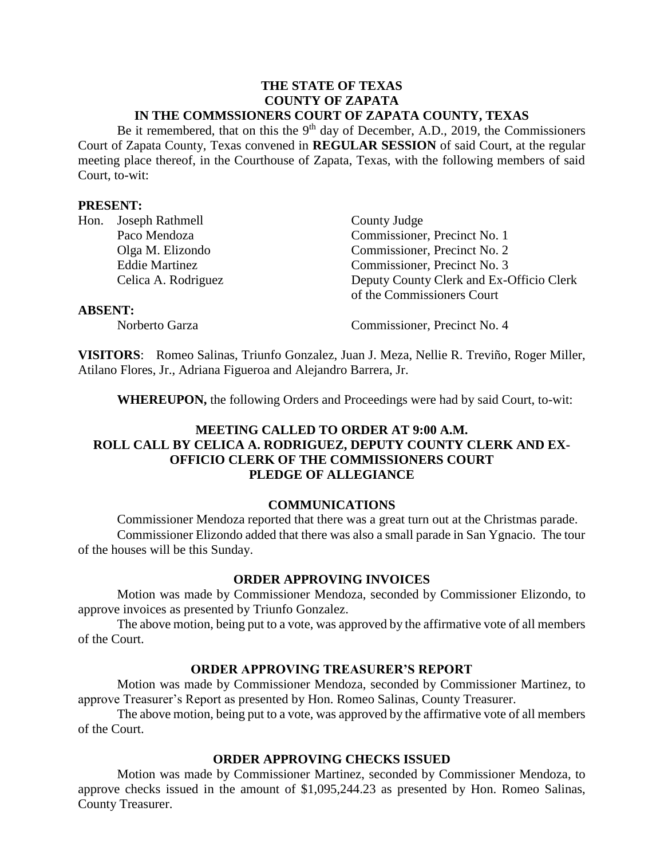#### **THE STATE OF TEXAS COUNTY OF ZAPATA IN THE COMMSSIONERS COURT OF ZAPATA COUNTY, TEXAS**

Be it remembered, that on this the  $9<sup>th</sup>$  day of December, A.D., 2019, the Commissioners Court of Zapata County, Texas convened in **REGULAR SESSION** of said Court, at the regular meeting place thereof, in the Courthouse of Zapata, Texas, with the following members of said Court, to-wit:

#### **PRESENT:**

|                | Hon. Joseph Rathmell  | County Judge                             |
|----------------|-----------------------|------------------------------------------|
|                | Paco Mendoza          | Commissioner, Precinct No. 1             |
|                | Olga M. Elizondo      | Commissioner, Precinct No. 2             |
|                | <b>Eddie Martinez</b> | Commissioner, Precinct No. 3             |
|                | Celica A. Rodriguez   | Deputy County Clerk and Ex-Officio Clerk |
|                |                       | of the Commissioners Court               |
| <b>ABSENT:</b> |                       |                                          |

Norberto Garza Commissioner, Precinct No. 4

**VISITORS**: Romeo Salinas, Triunfo Gonzalez, Juan J. Meza, Nellie R. Treviño, Roger Miller, Atilano Flores, Jr., Adriana Figueroa and Alejandro Barrera, Jr.

**WHEREUPON,** the following Orders and Proceedings were had by said Court, to-wit:

## **MEETING CALLED TO ORDER AT 9:00 A.M. ROLL CALL BY CELICA A. RODRIGUEZ, DEPUTY COUNTY CLERK AND EX-OFFICIO CLERK OF THE COMMISSIONERS COURT PLEDGE OF ALLEGIANCE**

## **COMMUNICATIONS**

Commissioner Mendoza reported that there was a great turn out at the Christmas parade. Commissioner Elizondo added that there was also a small parade in San Ygnacio. The tour of the houses will be this Sunday.

#### **ORDER APPROVING INVOICES**

Motion was made by Commissioner Mendoza, seconded by Commissioner Elizondo, to approve invoices as presented by Triunfo Gonzalez.

The above motion, being put to a vote, was approved by the affirmative vote of all members of the Court.

## **ORDER APPROVING TREASURER'S REPORT**

Motion was made by Commissioner Mendoza, seconded by Commissioner Martinez, to approve Treasurer's Report as presented by Hon. Romeo Salinas, County Treasurer.

The above motion, being put to a vote, was approved by the affirmative vote of all members of the Court.

## **ORDER APPROVING CHECKS ISSUED**

Motion was made by Commissioner Martinez, seconded by Commissioner Mendoza, to approve checks issued in the amount of \$1,095,244.23 as presented by Hon. Romeo Salinas, County Treasurer.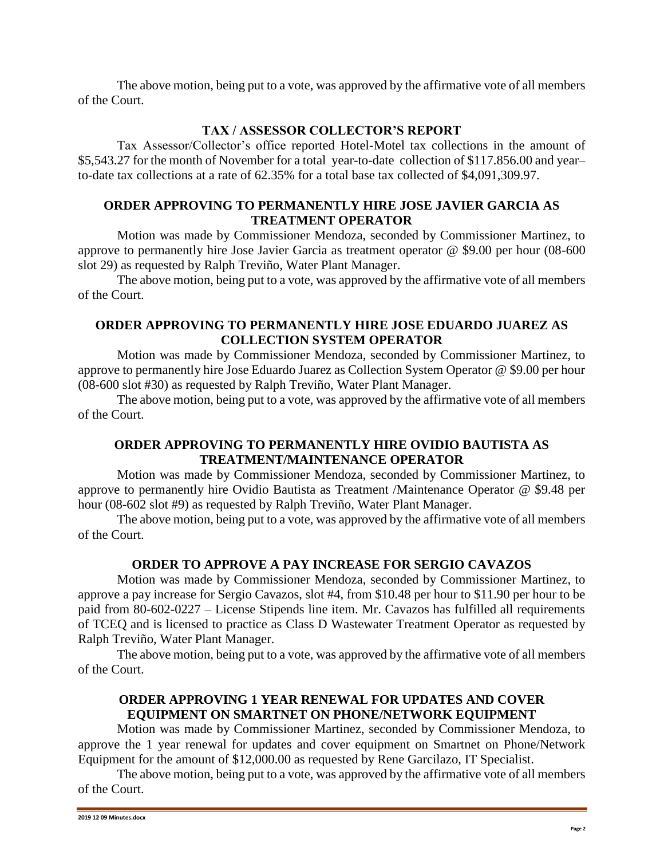The above motion, being put to a vote, was approved by the affirmative vote of all members of the Court.

# **TAX / ASSESSOR COLLECTOR'S REPORT**

Tax Assessor/Collector's office reported Hotel-Motel tax collections in the amount of \$5,543.27 for the month of November for a total year-to-date collection of \$117.856.00 and year– to-date tax collections at a rate of 62.35% for a total base tax collected of \$4,091,309.97.

## **ORDER APPROVING TO PERMANENTLY HIRE JOSE JAVIER GARCIA AS TREATMENT OPERATOR**

Motion was made by Commissioner Mendoza, seconded by Commissioner Martinez, to approve to permanently hire Jose Javier Garcia as treatment operator @ \$9.00 per hour (08-600 slot 29) as requested by Ralph Treviño, Water Plant Manager.

The above motion, being put to a vote, was approved by the affirmative vote of all members of the Court.

## **ORDER APPROVING TO PERMANENTLY HIRE JOSE EDUARDO JUAREZ AS COLLECTION SYSTEM OPERATOR**

Motion was made by Commissioner Mendoza, seconded by Commissioner Martinez, to approve to permanently hire Jose Eduardo Juarez as Collection System Operator @ \$9.00 per hour (08-600 slot #30) as requested by Ralph Treviño, Water Plant Manager.

The above motion, being put to a vote, was approved by the affirmative vote of all members of the Court.

# **ORDER APPROVING TO PERMANENTLY HIRE OVIDIO BAUTISTA AS TREATMENT/MAINTENANCE OPERATOR**

Motion was made by Commissioner Mendoza, seconded by Commissioner Martinez, to approve to permanently hire Ovidio Bautista as Treatment /Maintenance Operator @ \$9.48 per hour (08-602 slot #9) as requested by Ralph Treviño, Water Plant Manager.

The above motion, being put to a vote, was approved by the affirmative vote of all members of the Court.

# **ORDER TO APPROVE A PAY INCREASE FOR SERGIO CAVAZOS**

Motion was made by Commissioner Mendoza, seconded by Commissioner Martinez, to approve a pay increase for Sergio Cavazos, slot #4, from \$10.48 per hour to \$11.90 per hour to be paid from 80-602-0227 – License Stipends line item. Mr. Cavazos has fulfilled all requirements of TCEQ and is licensed to practice as Class D Wastewater Treatment Operator as requested by Ralph Treviño, Water Plant Manager.

The above motion, being put to a vote, was approved by the affirmative vote of all members of the Court.

# **ORDER APPROVING 1 YEAR RENEWAL FOR UPDATES AND COVER EQUIPMENT ON SMARTNET ON PHONE/NETWORK EQUIPMENT**

Motion was made by Commissioner Martinez, seconded by Commissioner Mendoza, to approve the 1 year renewal for updates and cover equipment on Smartnet on Phone/Network Equipment for the amount of \$12,000.00 as requested by Rene Garcilazo, IT Specialist.

The above motion, being put to a vote, was approved by the affirmative vote of all members of the Court.